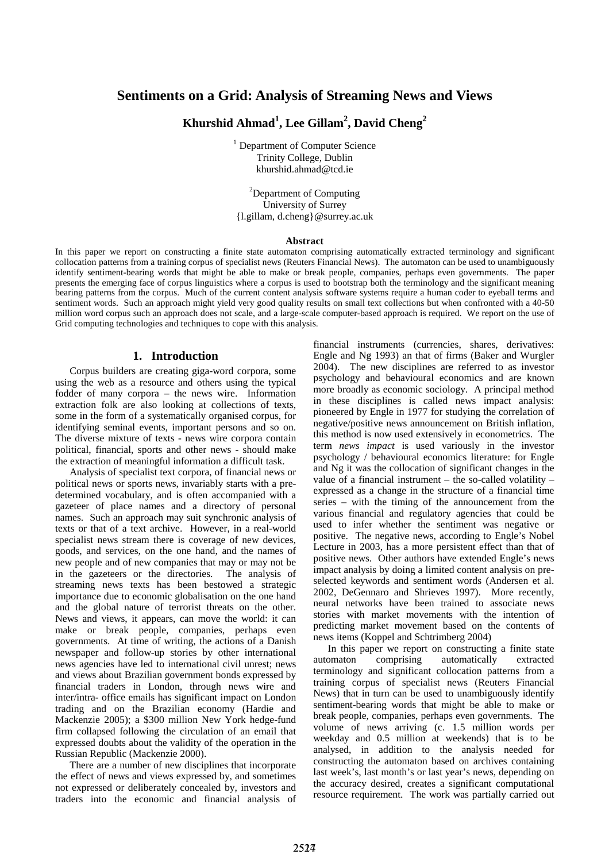# **Sentiments on a Grid: Analysis of Streaming News and Views**

# **Khurshid Ahmad<sup>1</sup> , Lee Gillam2 , David Cheng2**

<sup>1</sup> Department of Computer Science Trinity College, Dublin khurshid.ahmad@tcd.ie

<sup>2</sup>Department of Computing University of Surrey {l.gillam, d.cheng}@surrey.ac.uk

#### **Abstract**

In this paper we report on constructing a finite state automaton comprising automatically extracted terminology and significant collocation patterns from a training corpus of specialist news (Reuters Financial News). The automaton can be used to unambiguously identify sentiment-bearing words that might be able to make or break people, companies, perhaps even governments. The paper presents the emerging face of corpus linguistics where a corpus is used to bootstrap both the terminology and the significant meaning bearing patterns from the corpus. Much of the current content analysis software systems require a human coder to eyeball terms and sentiment words. Such an approach might yield very good quality results on small text collections but when confronted with a 40-50 million word corpus such an approach does not scale, and a large-scale computer-based approach is required. We report on the use of Grid computing technologies and techniques to cope with this analysis.

#### **1. Introduction**

Corpus builders are creating giga-word corpora, some using the web as a resource and others using the typical fodder of many corpora – the news wire. Information extraction folk are also looking at collections of texts, some in the form of a systematically organised corpus, for identifying seminal events, important persons and so on. The diverse mixture of texts - news wire corpora contain political, financial, sports and other news - should make the extraction of meaningful information a difficult task.

Analysis of specialist text corpora, of financial news or political news or sports news, invariably starts with a predetermined vocabulary, and is often accompanied with a gazeteer of place names and a directory of personal names. Such an approach may suit synchronic analysis of texts or that of a text archive. However, in a real-world specialist news stream there is coverage of new devices, goods, and services, on the one hand, and the names of new people and of new companies that may or may not be in the gazeteers or the directories. The analysis of streaming news texts has been bestowed a strategic importance due to economic globalisation on the one hand and the global nature of terrorist threats on the other. News and views, it appears, can move the world: it can make or break people, companies, perhaps even governments. At time of writing, the actions of a Danish newspaper and follow-up stories by other international news agencies have led to international civil unrest; news and views about Brazilian government bonds expressed by financial traders in London, through news wire and inter/intra- office emails has significant impact on London trading and on the Brazilian economy (Hardie and Mackenzie 2005); a \$300 million New York hedge-fund firm collapsed following the circulation of an email that expressed doubts about the validity of the operation in the Russian Republic (Mackenzie 2000).

There are a number of new disciplines that incorporate the effect of news and views expressed by, and sometimes not expressed or deliberately concealed by, investors and traders into the economic and financial analysis of financial instruments (currencies, shares, derivatives: Engle and Ng 1993) an that of firms (Baker and Wurgler 2004). The new disciplines are referred to as investor psychology and behavioural economics and are known more broadly as economic sociology. A principal method in these disciplines is called news impact analysis: pioneered by Engle in 1977 for studying the correlation of negative/positive news announcement on British inflation, this method is now used extensively in econometrics. The term *news impact* is used variously in the investor psychology / behavioural economics literature: for Engle and Ng it was the collocation of significant changes in the value of a financial instrument – the so-called volatility – expressed as a change in the structure of a financial time series – with the timing of the announcement from the various financial and regulatory agencies that could be used to infer whether the sentiment was negative or positive. The negative news, according to Engle's Nobel Lecture in 2003, has a more persistent effect than that of positive news. Other authors have extended Engle's news impact analysis by doing a limited content analysis on preselected keywords and sentiment words (Andersen et al. 2002, DeGennaro and Shrieves 1997). More recently, neural networks have been trained to associate news stories with market movements with the intention of predicting market movement based on the contents of news items (Koppel and Schtrimberg 2004)

In this paper we report on constructing a finite state automaton comprising automatically extracted terminology and significant collocation patterns from a training corpus of specialist news (Reuters Financial News) that in turn can be used to unambiguously identify sentiment-bearing words that might be able to make or break people, companies, perhaps even governments. The volume of news arriving (c. 1.5 million words per weekday and 0.5 million at weekends) that is to be analysed, in addition to the analysis needed for constructing the automaton based on archives containing last week's, last month's or last year's news, depending on the accuracy desired, creates a significant computational resource requirement. The work was partially carried out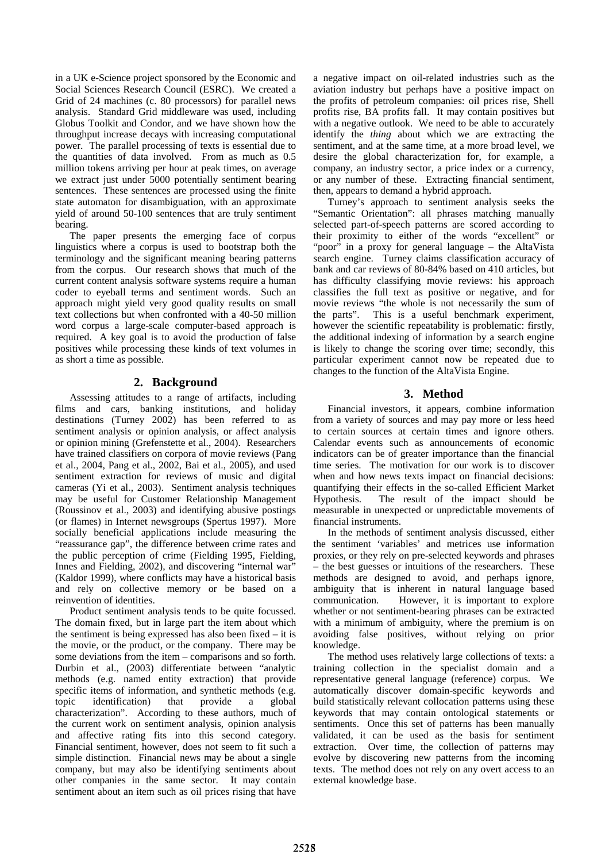in a UK e-Science project sponsored by the Economic and Social Sciences Research Council (ESRC). We created a Grid of 24 machines (c. 80 processors) for parallel news analysis. Standard Grid middleware was used, including Globus Toolkit and Condor, and we have shown how the throughput increase decays with increasing computational power. The parallel processing of texts is essential due to the quantities of data involved. From as much as 0.5 million tokens arriving per hour at peak times, on average we extract just under 5000 potentially sentiment bearing sentences. These sentences are processed using the finite state automaton for disambiguation, with an approximate yield of around 50-100 sentences that are truly sentiment bearing.

The paper presents the emerging face of corpus linguistics where a corpus is used to bootstrap both the terminology and the significant meaning bearing patterns from the corpus. Our research shows that much of the current content analysis software systems require a human coder to eyeball terms and sentiment words. Such an approach might yield very good quality results on small text collections but when confronted with a 40-50 million word corpus a large-scale computer-based approach is required. A key goal is to avoid the production of false positives while processing these kinds of text volumes in as short a time as possible.

# **2. Background**

Assessing attitudes to a range of artifacts, including films and cars, banking institutions, and holiday destinations (Turney 2002) has been referred to as sentiment analysis or opinion analysis, or affect analysis or opinion mining (Grefenstette et al., 2004). Researchers have trained classifiers on corpora of movie reviews (Pang et al., 2004, Pang et al., 2002, Bai et al., 2005), and used sentiment extraction for reviews of music and digital cameras (Yi et al., 2003). Sentiment analysis techniques may be useful for Customer Relationship Management (Roussinov et al., 2003) and identifying abusive postings (or flames) in Internet newsgroups (Spertus 1997). More socially beneficial applications include measuring the "reassurance gap", the difference between crime rates and the public perception of crime (Fielding 1995, Fielding, Innes and Fielding, 2002), and discovering "internal war" (Kaldor 1999), where conflicts may have a historical basis and rely on collective memory or be based on a reinvention of identities.

Product sentiment analysis tends to be quite focussed. The domain fixed, but in large part the item about which the sentiment is being expressed has also been fixed – it is the movie, or the product, or the company. There may be some deviations from the item – comparisons and so forth. Durbin et al., (2003) differentiate between "analytic methods (e.g. named entity extraction) that provide specific items of information, and synthetic methods (e.g. topic identification) that provide a global characterization". According to these authors, much of the current work on sentiment analysis, opinion analysis and affective rating fits into this second category. Financial sentiment, however, does not seem to fit such a simple distinction. Financial news may be about a single company, but may also be identifying sentiments about other companies in the same sector. It may contain sentiment about an item such as oil prices rising that have

a negative impact on oil-related industries such as the aviation industry but perhaps have a positive impact on the profits of petroleum companies: oil prices rise, Shell profits rise, BA profits fall. It may contain positives but with a negative outlook. We need to be able to accurately identify the *thing* about which we are extracting the sentiment, and at the same time, at a more broad level, we desire the global characterization for, for example, a company, an industry sector, a price index or a currency, or any number of these. Extracting financial sentiment, then, appears to demand a hybrid approach.

Turney's approach to sentiment analysis seeks the "Semantic Orientation": all phrases matching manually selected part-of-speech patterns are scored according to their proximity to either of the words "excellent" or "poor" in a proxy for general language – the AltaVista search engine. Turney claims classification accuracy of bank and car reviews of 80-84% based on 410 articles, but has difficulty classifying movie reviews: his approach classifies the full text as positive or negative, and for movie reviews "the whole is not necessarily the sum of the parts". This is a useful benchmark experiment, however the scientific repeatability is problematic: firstly, the additional indexing of information by a search engine is likely to change the scoring over time; secondly, this particular experiment cannot now be repeated due to changes to the function of the AltaVista Engine.

# **3. Method**

Financial investors, it appears, combine information from a variety of sources and may pay more or less heed to certain sources at certain times and ignore others. Calendar events such as announcements of economic indicators can be of greater importance than the financial time series. The motivation for our work is to discover when and how news texts impact on financial decisions: quantifying their effects in the so-called Efficient Market Hypothesis. The result of the impact should be measurable in unexpected or unpredictable movements of financial instruments.

In the methods of sentiment analysis discussed, either the sentiment 'variables' and metrices use information proxies, or they rely on pre-selected keywords and phrases – the best guesses or intuitions of the researchers. These methods are designed to avoid, and perhaps ignore, ambiguity that is inherent in natural language based communication. However, it is important to explore whether or not sentiment-bearing phrases can be extracted with a minimum of ambiguity, where the premium is on avoiding false positives, without relying on prior knowledge.

The method uses relatively large collections of texts: a training collection in the specialist domain and a representative general language (reference) corpus. We automatically discover domain-specific keywords and build statistically relevant collocation patterns using these keywords that may contain ontological statements or sentiments. Once this set of patterns has been manually validated, it can be used as the basis for sentiment extraction. Over time, the collection of patterns may evolve by discovering new patterns from the incoming texts. The method does not rely on any overt access to an external knowledge base.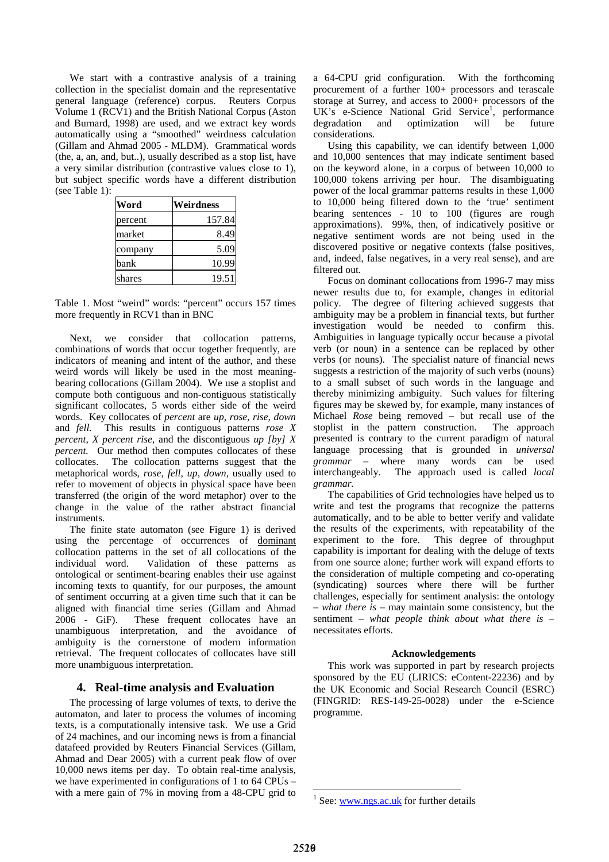We start with a contrastive analysis of a training collection in the specialist domain and the representative general language (reference) corpus. Reuters Corpus Volume 1 (RCV1) and the British National Corpus (Aston and Burnard, 1998) are used, and we extract key words automatically using a "smoothed" weirdness calculation (Gillam and Ahmad 2005 - MLDM). Grammatical words (the, a, an, and, but..), usually described as a stop list, have a very similar distribution (contrastive values close to 1), but subject specific words have a different distribution (see Table 1):

| Word    | Weirdness |
|---------|-----------|
| percent | 157.84    |
| market  | 8.49      |
| company | 5.09      |
| bank    | 10.99     |
| shares  | 19.51     |

Table 1. Most "weird" words: "percent" occurs 157 times more frequently in RCV1 than in BNC

Next, we consider that collocation patterns, combinations of words that occur together frequently, are indicators of meaning and intent of the author, and these weird words will likely be used in the most meaningbearing collocations (Gillam 2004). We use a stoplist and compute both contiguous and non-contiguous statistically significant collocates, 5 words either side of the weird words. Key collocates of *percent* are *up, rose, rise, down*  and *fell.* This results in contiguous patterns *rose X percent, X percent rise,* and the discontiguous *up [by] X percent.* Our method then computes collocates of these collocates. The collocation patterns suggest that the metaphorical words, *rose, fell, up, down*, usually used to refer to movement of objects in physical space have been transferred (the origin of the word metaphor) over to the change in the value of the rather abstract financial instruments.

The finite state automaton (see Figure 1) is derived using the percentage of occurrences of dominant collocation patterns in the set of all collocations of the individual word. Validation of these patterns as ontological or sentiment-bearing enables their use against incoming texts to quantify, for our purposes, the amount of sentiment occurring at a given time such that it can be aligned with financial time series (Gillam and Ahmad 2006 - GiF). These frequent collocates have an unambiguous interpretation, and the avoidance of ambiguity is the cornerstone of modern information retrieval. The frequent collocates of collocates have still more unambiguous interpretation.

### **4. Real-time analysis and Evaluation**

The processing of large volumes of texts, to derive the automaton, and later to process the volumes of incoming texts, is a computationally intensive task. We use a Grid of 24 machines, and our incoming news is from a financial datafeed provided by Reuters Financial Services (Gillam, Ahmad and Dear 2005) with a current peak flow of over 10,000 news items per day. To obtain real-time analysis, we have experimented in configurations of 1 to 64 CPUs – with a mere gain of 7% in moving from a 48-CPU grid to

a 64-CPU grid configuration. With the forthcoming procurement of a further 100+ processors and terascale storage at Surrey, and access to 2000+ processors of the UK's e-Science National Grid Service<sup>1</sup>, performance degradation and optimization will be future considerations.

Using this capability, we can identify between 1,000 and 10,000 sentences that may indicate sentiment based on the keyword alone, in a corpus of between 10,000 to 100,000 tokens arriving per hour. The disambiguating power of the local grammar patterns results in these 1,000 to 10,000 being filtered down to the 'true' sentiment bearing sentences - 10 to 100 (figures are rough approximations). 99%, then, of indicatively positive or negative sentiment words are not being used in the discovered positive or negative contexts (false positives, and, indeed, false negatives, in a very real sense), and are filtered out.

Focus on dominant collocations from 1996-7 may miss newer results due to, for example, changes in editorial policy. The degree of filtering achieved suggests that ambiguity may be a problem in financial texts, but further investigation would be needed to confirm this. Ambiguities in language typically occur because a pivotal verb (or noun) in a sentence can be replaced by other verbs (or nouns). The specialist nature of financial news suggests a restriction of the majority of such verbs (nouns) to a small subset of such words in the language and thereby minimizing ambiguity. Such values for filtering figures may be skewed by, for example, many instances of Michael *Rose* being removed – but recall use of the stoplist in the pattern construction. The approach presented is contrary to the current paradigm of natural language processing that is grounded in *universal grammar –* where many words can be used interchangeably. The approach used is called *local grammar.* 

The capabilities of Grid technologies have helped us to write and test the programs that recognize the patterns automatically, and to be able to better verify and validate the results of the experiments, with repeatability of the experiment to the fore. This degree of throughput capability is important for dealing with the deluge of texts from one source alone; further work will expand efforts to the consideration of multiple competing and co-operating (syndicating) sources where there will be further challenges, especially for sentiment analysis: the ontology – *what there is* – may maintain some consistency, but the sentiment – *what people think about what there is* – necessitates efforts.

#### **Acknowledgements**

This work was supported in part by research projects sponsored by the EU (LIRICS: eContent-22236) and by the UK Economic and Social Research Council (ESRC) (FINGRID: RES-149-25-0028) under the e-Science programme.

 $\overline{a}$ 

<sup>&</sup>lt;sup>1</sup> See: www.ngs.ac.uk for further details